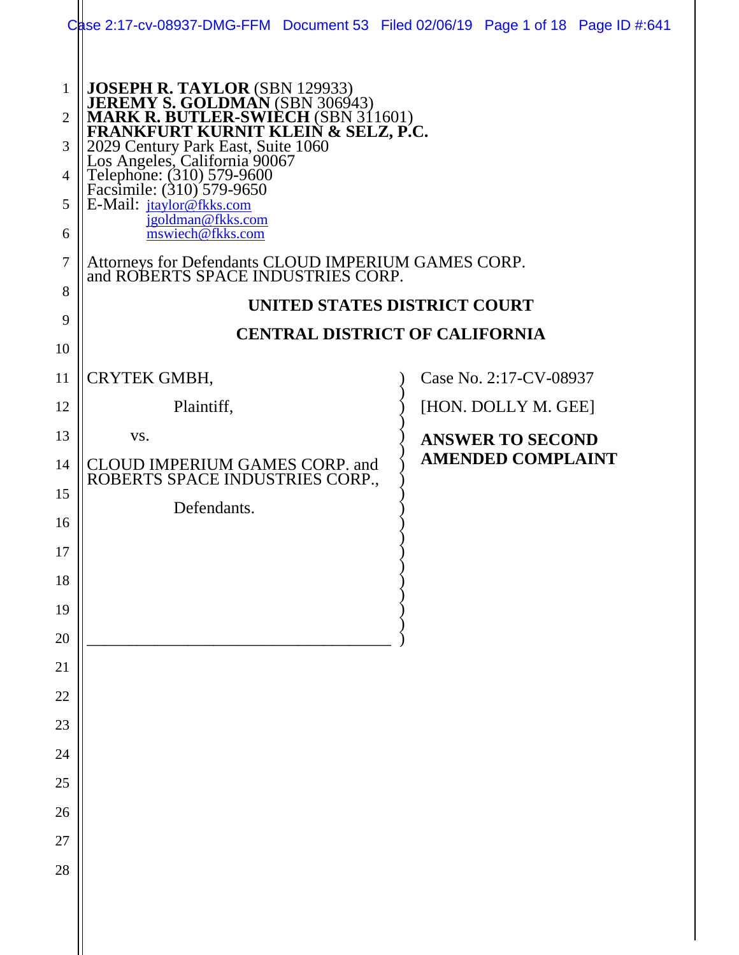| JOSEPH R. TAYLOR (SBN 129933)<br>JEREMY S. GOLDMAN (SBN 306943)<br>MARK R. BUTLER-SWIECH (SBN 311601)<br>FRANKFURT KURNIT KLEIN & SELZ, P.C.<br>2029 Century Park East, Suite 1060<br>Los Angeles, California 90067<br>Telephone: (310) 579-9600<br>$\mathbf{1}$<br>$\overline{2}$<br>3<br>4 |  |
|----------------------------------------------------------------------------------------------------------------------------------------------------------------------------------------------------------------------------------------------------------------------------------------------|--|
| E-Mail: jtaylor@fkks.com<br>5<br>jgoldman@fkks.com<br>mswiech@fkks.com<br>6                                                                                                                                                                                                                  |  |
| Attorneys for Defendants CLOUD IMPERIUM GAMES CORP.<br>and ROBERTS SPACE INDUSTRIES CORP.<br>7                                                                                                                                                                                               |  |
| 8<br>UNITED STATES DISTRICT COURT                                                                                                                                                                                                                                                            |  |
| 9<br><b>CENTRAL DISTRICT OF CALIFORNIA</b><br>10                                                                                                                                                                                                                                             |  |
| CRYTEK GMBH,<br>Case No. 2:17-CV-08937<br>11                                                                                                                                                                                                                                                 |  |
| [HON. DOLLY M. GEE]<br>Plaintiff,<br>12                                                                                                                                                                                                                                                      |  |
| 13<br>VS.<br><b>ANSWER TO SECOND</b>                                                                                                                                                                                                                                                         |  |
| <b>AMENDED COMPLAINT</b><br>CLOUD IMPERIUM GAMES CORP. and<br>14                                                                                                                                                                                                                             |  |
| ROBERTS SPACE INDUSTRIES CORP.,<br>15                                                                                                                                                                                                                                                        |  |
| Defendants.<br>16                                                                                                                                                                                                                                                                            |  |
| 17                                                                                                                                                                                                                                                                                           |  |
| 18                                                                                                                                                                                                                                                                                           |  |
| 19                                                                                                                                                                                                                                                                                           |  |
| 20                                                                                                                                                                                                                                                                                           |  |
| 21                                                                                                                                                                                                                                                                                           |  |
| $22\,$<br>23                                                                                                                                                                                                                                                                                 |  |
| 24                                                                                                                                                                                                                                                                                           |  |
| 25                                                                                                                                                                                                                                                                                           |  |
| 26                                                                                                                                                                                                                                                                                           |  |
| 27                                                                                                                                                                                                                                                                                           |  |
| 28                                                                                                                                                                                                                                                                                           |  |
|                                                                                                                                                                                                                                                                                              |  |
|                                                                                                                                                                                                                                                                                              |  |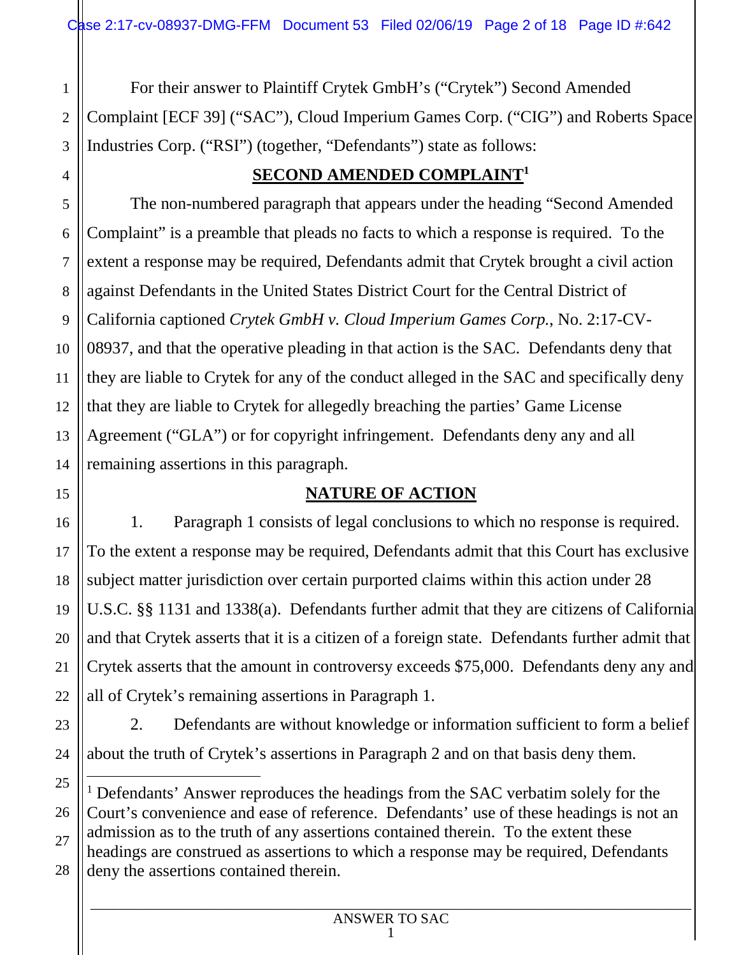1 2 For their answer to Plaintiff Crytek GmbH's ("Crytek") Second Amended Complaint [ECF 39] ("SAC"), Cloud Imperium Games Corp. ("CIG") and Roberts Space Industries Corp. ("RSI") (together, "Defendants") state as follows:

# **SECOND AMENDED COMPLAINT<sup>1</sup>**

The non-numbered paragraph that appears under the heading "Second Amended Complaint" is a preamble that pleads no facts to which a response is required. To the extent a response may be required, Defendants admit that Crytek brought a civil action against Defendants in the United States District Court for the Central District of California captioned *Crytek GmbH v. Cloud Imperium Games Corp.*, No. 2:17-CV-08937, and that the operative pleading in that action is the SAC. Defendants deny that they are liable to Crytek for any of the conduct alleged in the SAC and specifically deny that they are liable to Crytek for allegedly breaching the parties' Game License Agreement ("GLA") or for copyright infringement. Defendants deny any and all remaining assertions in this paragraph.

### **NATURE OF ACTION**

1. Paragraph 1 consists of legal conclusions to which no response is required. To the extent a response may be required, Defendants admit that this Court has exclusive subject matter jurisdiction over certain purported claims within this action under 28 U.S.C. §§ 1131 and 1338(a). Defendants further admit that they are citizens of California and that Crytek asserts that it is a citizen of a foreign state. Defendants further admit that Crytek asserts that the amount in controversy exceeds \$75,000. Defendants deny any and all of Crytek's remaining assertions in Paragraph 1.

2. Defendants are without knowledge or information sufficient to form a belief about the truth of Crytek's assertions in Paragraph 2 and on that basis deny them.

<sup>&</sup>lt;sup>1</sup> Defendants' Answer reproduces the headings from the SAC verbatim solely for the Court's convenience and ease of reference. Defendants' use of these headings is not an admission as to the truth of any assertions contained therein. To the extent these headings are construed as assertions to which a response may be required, Defendants deny the assertions contained therein.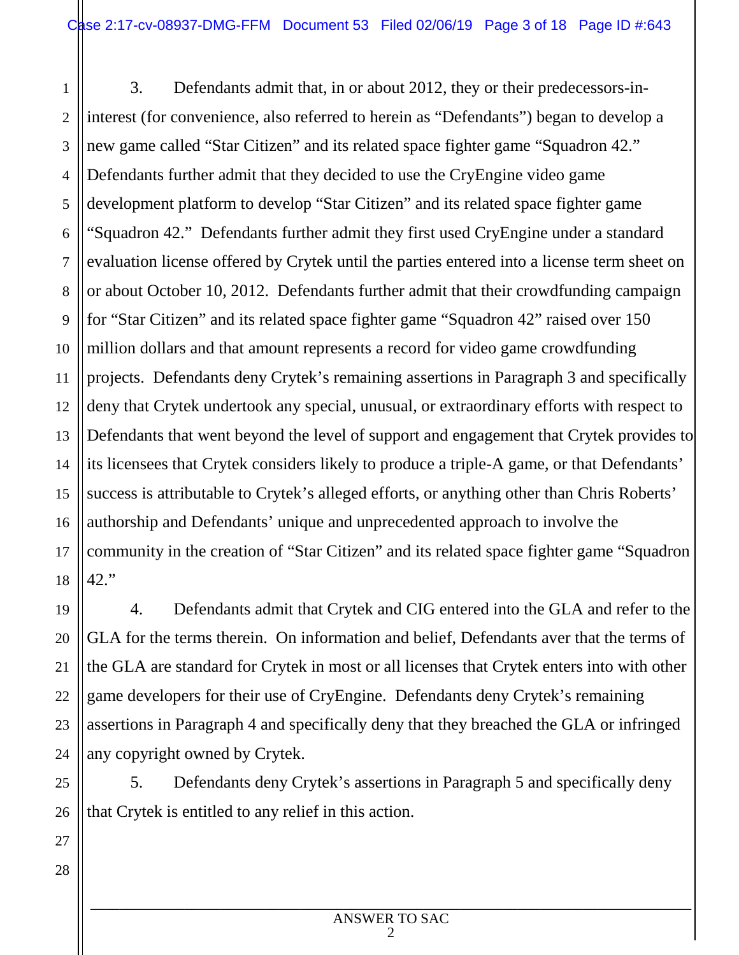1 2 3 4 5 6 7 8 9 10 11 12 13 14 15 16 17 18 3. Defendants admit that, in or about 2012, they or their predecessors-ininterest (for convenience, also referred to herein as "Defendants") began to develop a new game called "Star Citizen" and its related space fighter game "Squadron 42." Defendants further admit that they decided to use the CryEngine video game development platform to develop "Star Citizen" and its related space fighter game "Squadron 42." Defendants further admit they first used CryEngine under a standard evaluation license offered by Crytek until the parties entered into a license term sheet on or about October 10, 2012. Defendants further admit that their crowdfunding campaign for "Star Citizen" and its related space fighter game "Squadron 42" raised over 150 million dollars and that amount represents a record for video game crowdfunding projects. Defendants deny Crytek's remaining assertions in Paragraph 3 and specifically deny that Crytek undertook any special, unusual, or extraordinary efforts with respect to Defendants that went beyond the level of support and engagement that Crytek provides to its licensees that Crytek considers likely to produce a triple-A game, or that Defendants' success is attributable to Crytek's alleged efforts, or anything other than Chris Roberts' authorship and Defendants' unique and unprecedented approach to involve the community in the creation of "Star Citizen" and its related space fighter game "Squadron 42."

4. Defendants admit that Crytek and CIG entered into the GLA and refer to the GLA for the terms therein. On information and belief, Defendants aver that the terms of the GLA are standard for Crytek in most or all licenses that Crytek enters into with other game developers for their use of CryEngine. Defendants deny Crytek's remaining assertions in Paragraph 4 and specifically deny that they breached the GLA or infringed any copyright owned by Crytek.

25 26 5. Defendants deny Crytek's assertions in Paragraph 5 and specifically deny that Crytek is entitled to any relief in this action.

27

19

20

21

22

23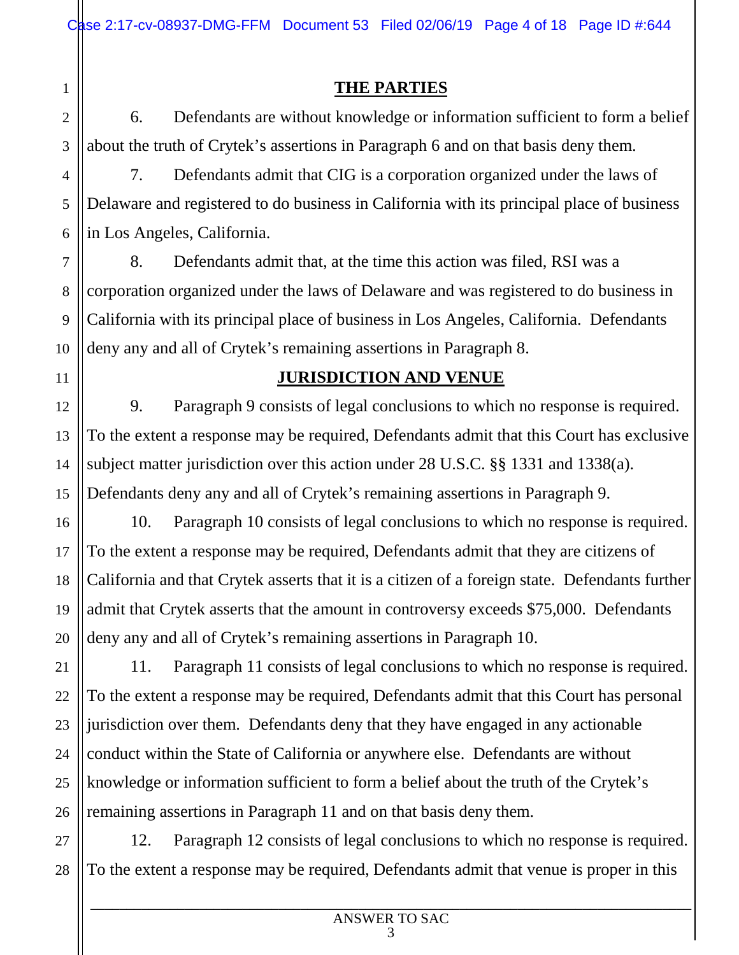**THE PARTIES** 

6. Defendants are without knowledge or information sufficient to form a belief about the truth of Crytek's assertions in Paragraph 6 and on that basis deny them.

7. Defendants admit that CIG is a corporation organized under the laws of Delaware and registered to do business in California with its principal place of business in Los Angeles, California.

8. Defendants admit that, at the time this action was filed, RSI was a corporation organized under the laws of Delaware and was registered to do business in California with its principal place of business in Los Angeles, California. Defendants deny any and all of Crytek's remaining assertions in Paragraph 8.

### **JURISDICTION AND VENUE**

9. Paragraph 9 consists of legal conclusions to which no response is required. To the extent a response may be required, Defendants admit that this Court has exclusive subject matter jurisdiction over this action under 28 U.S.C. §§ 1331 and 1338(a). Defendants deny any and all of Crytek's remaining assertions in Paragraph 9.

10. Paragraph 10 consists of legal conclusions to which no response is required. To the extent a response may be required, Defendants admit that they are citizens of California and that Crytek asserts that it is a citizen of a foreign state. Defendants further admit that Crytek asserts that the amount in controversy exceeds \$75,000. Defendants deny any and all of Crytek's remaining assertions in Paragraph 10.

11. Paragraph 11 consists of legal conclusions to which no response is required. To the extent a response may be required, Defendants admit that this Court has personal jurisdiction over them. Defendants deny that they have engaged in any actionable conduct within the State of California or anywhere else. Defendants are without knowledge or information sufficient to form a belief about the truth of the Crytek's remaining assertions in Paragraph 11 and on that basis deny them.

27 28 12. Paragraph 12 consists of legal conclusions to which no response is required. To the extent a response may be required, Defendants admit that venue is proper in this

1

2

3

4

5

6

7

8

9

10

11

12

13

14

15

16

17

18

19

20

21

22

23

24

25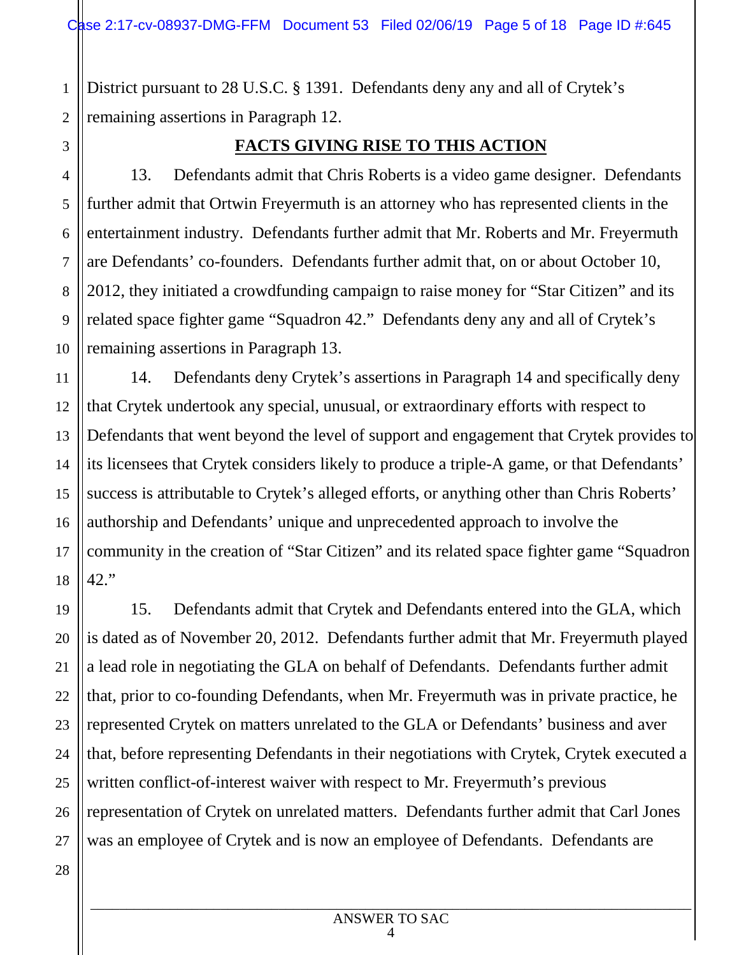1 2 District pursuant to 28 U.S.C. § 1391. Defendants deny any and all of Crytek's remaining assertions in Paragraph 12.

3

4

5

6

7

8

9

10

11

19

20

21

22

23

24

25

26

#### **FACTS GIVING RISE TO THIS ACTION**

13. Defendants admit that Chris Roberts is a video game designer. Defendants further admit that Ortwin Freyermuth is an attorney who has represented clients in the entertainment industry. Defendants further admit that Mr. Roberts and Mr. Freyermuth are Defendants' co-founders. Defendants further admit that, on or about October 10, 2012, they initiated a crowdfunding campaign to raise money for "Star Citizen" and its related space fighter game "Squadron 42." Defendants deny any and all of Crytek's remaining assertions in Paragraph 13.

12 13 14 15 16 17 18 14. Defendants deny Crytek's assertions in Paragraph 14 and specifically deny that Crytek undertook any special, unusual, or extraordinary efforts with respect to Defendants that went beyond the level of support and engagement that Crytek provides to its licensees that Crytek considers likely to produce a triple-A game, or that Defendants' success is attributable to Crytek's alleged efforts, or anything other than Chris Roberts' authorship and Defendants' unique and unprecedented approach to involve the community in the creation of "Star Citizen" and its related space fighter game "Squadron 42."

15. Defendants admit that Crytek and Defendants entered into the GLA, which is dated as of November 20, 2012. Defendants further admit that Mr. Freyermuth played a lead role in negotiating the GLA on behalf of Defendants. Defendants further admit that, prior to co-founding Defendants, when Mr. Freyermuth was in private practice, he represented Crytek on matters unrelated to the GLA or Defendants' business and aver that, before representing Defendants in their negotiations with Crytek, Crytek executed a written conflict-of-interest waiver with respect to Mr. Freyermuth's previous representation of Crytek on unrelated matters. Defendants further admit that Carl Jones was an employee of Crytek and is now an employee of Defendants. Defendants are

\_\_\_\_\_\_\_\_\_\_\_\_\_\_\_\_\_\_\_\_\_\_\_\_\_\_\_\_\_\_\_\_\_\_\_\_\_\_\_\_\_\_\_\_\_\_\_\_\_\_\_\_\_\_\_\_\_\_\_\_\_\_\_\_\_\_\_\_\_\_\_\_\_\_\_\_\_\_\_\_\_\_\_ ANSWER TO SAC 4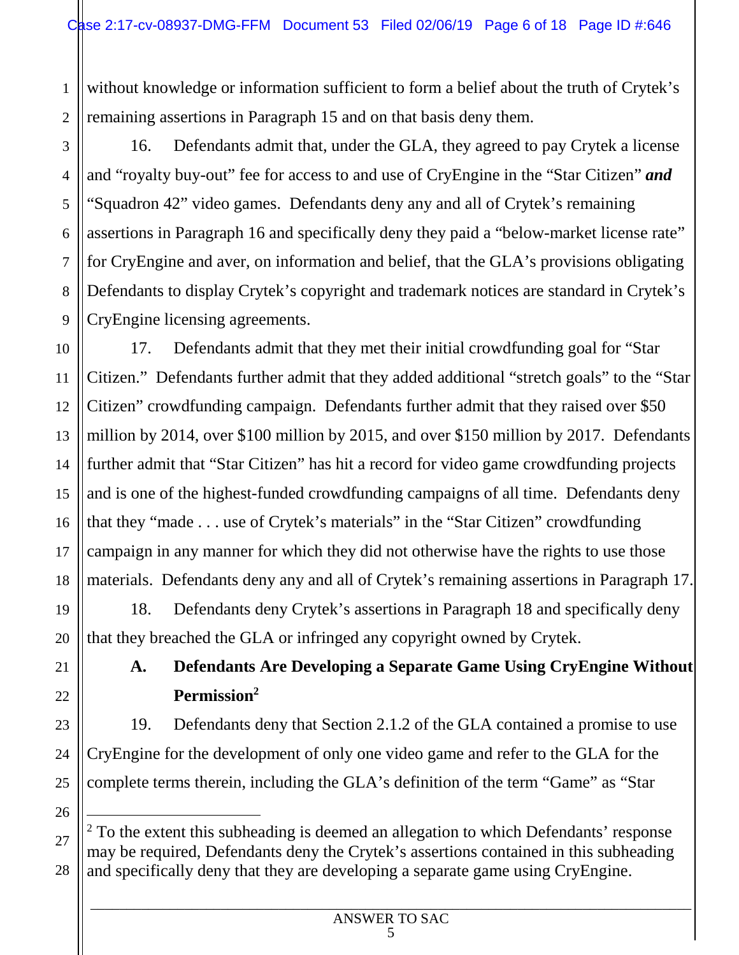1 2 without knowledge or information sufficient to form a belief about the truth of Crytek's remaining assertions in Paragraph 15 and on that basis deny them.

16. Defendants admit that, under the GLA, they agreed to pay Crytek a license and "royalty buy-out" fee for access to and use of CryEngine in the "Star Citizen" *and* "Squadron 42" video games. Defendants deny any and all of Crytek's remaining assertions in Paragraph 16 and specifically deny they paid a "below-market license rate" for CryEngine and aver, on information and belief, that the GLA's provisions obligating Defendants to display Crytek's copyright and trademark notices are standard in Crytek's CryEngine licensing agreements.

10 12 13 14 15 16 18 17. Defendants admit that they met their initial crowdfunding goal for "Star Citizen." Defendants further admit that they added additional "stretch goals" to the "Star Citizen" crowdfunding campaign. Defendants further admit that they raised over \$50 million by 2014, over \$100 million by 2015, and over \$150 million by 2017. Defendants further admit that "Star Citizen" has hit a record for video game crowdfunding projects and is one of the highest-funded crowdfunding campaigns of all time. Defendants deny that they "made . . . use of Crytek's materials" in the "Star Citizen" crowdfunding campaign in any manner for which they did not otherwise have the rights to use those materials. Defendants deny any and all of Crytek's remaining assertions in Paragraph 17.

18. Defendants deny Crytek's assertions in Paragraph 18 and specifically deny that they breached the GLA or infringed any copyright owned by Crytek.

# **A. Defendants Are Developing a Separate Game Using CryEngine Without Permission<sup>2</sup>**

19. Defendants deny that Section 2.1.2 of the GLA contained a promise to use CryEngine for the development of only one video game and refer to the GLA for the complete terms therein, including the GLA's definition of the term "Game" as "Star

25 26

3

4

5

6

7

8

9

11

17

19

20

21

22

23

<sup>27</sup> 28  $2$  To the extent this subheading is deemed an allegation to which Defendants' response may be required, Defendants deny the Crytek's assertions contained in this subheading and specifically deny that they are developing a separate game using CryEngine.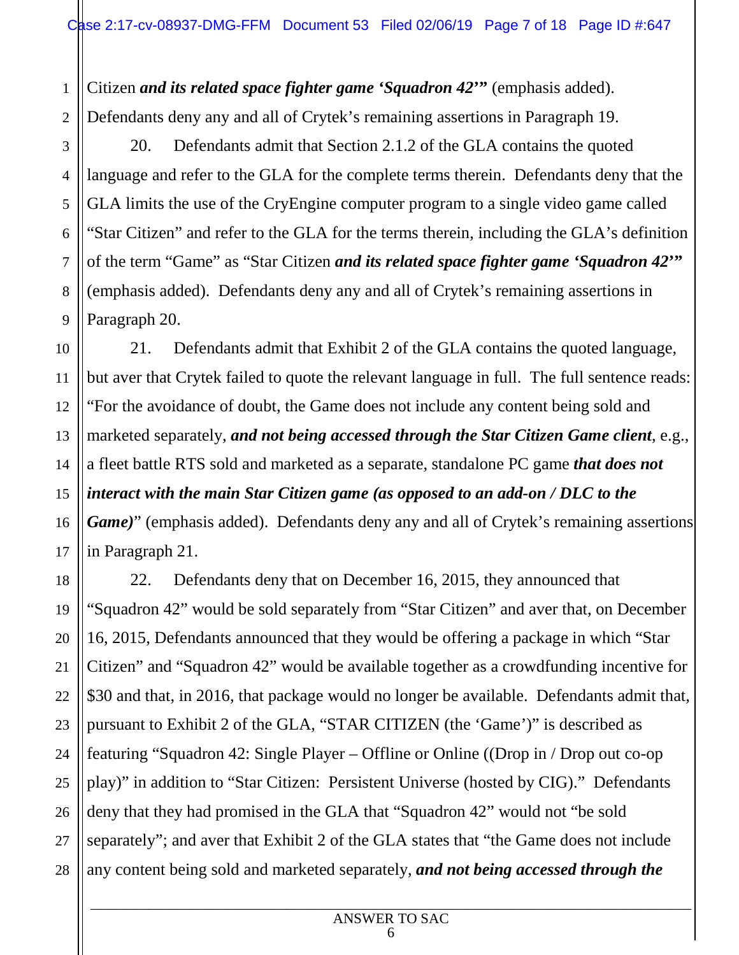1 2 Citizen *and its related space fighter game 'Squadron 42***'"** (emphasis added). Defendants deny any and all of Crytek's remaining assertions in Paragraph 19.

20. Defendants admit that Section 2.1.2 of the GLA contains the quoted language and refer to the GLA for the complete terms therein. Defendants deny that the GLA limits the use of the CryEngine computer program to a single video game called "Star Citizen" and refer to the GLA for the terms therein, including the GLA's definition of the term "Game" as "Star Citizen *and its related space fighter game 'Squadron 42***'"**  (emphasis added). Defendants deny any and all of Crytek's remaining assertions in Paragraph 20.

21. Defendants admit that Exhibit 2 of the GLA contains the quoted language, but aver that Crytek failed to quote the relevant language in full. The full sentence reads: "For the avoidance of doubt, the Game does not include any content being sold and marketed separately, *and not being accessed through the Star Citizen Game client*, e.g., a fleet battle RTS sold and marketed as a separate, standalone PC game *that does not interact with the main Star Citizen game (as opposed to an add-on / DLC to the Game*)" (emphasis added). Defendants deny any and all of Crytek's remaining assertions in Paragraph 21.

22. Defendants deny that on December 16, 2015, they announced that "Squadron 42" would be sold separately from "Star Citizen" and aver that, on December 16, 2015, Defendants announced that they would be offering a package in which "Star Citizen" and "Squadron 42" would be available together as a crowdfunding incentive for \$30 and that, in 2016, that package would no longer be available. Defendants admit that, pursuant to Exhibit 2 of the GLA, "STAR CITIZEN (the 'Game')" is described as featuring "Squadron 42: Single Player – Offline or Online ((Drop in / Drop out co-op play)" in addition to "Star Citizen: Persistent Universe (hosted by CIG)." Defendants deny that they had promised in the GLA that "Squadron 42" would not "be sold separately"; and aver that Exhibit 2 of the GLA states that "the Game does not include any content being sold and marketed separately, *and not being accessed through the* 

3

4

5

#### \_\_\_\_\_\_\_\_\_\_\_\_\_\_\_\_\_\_\_\_\_\_\_\_\_\_\_\_\_\_\_\_\_\_\_\_\_\_\_\_\_\_\_\_\_\_\_\_\_\_\_\_\_\_\_\_\_\_\_\_\_\_\_\_\_\_\_\_\_\_\_\_\_\_\_\_\_\_\_\_\_\_\_ ANSWER TO SAC 6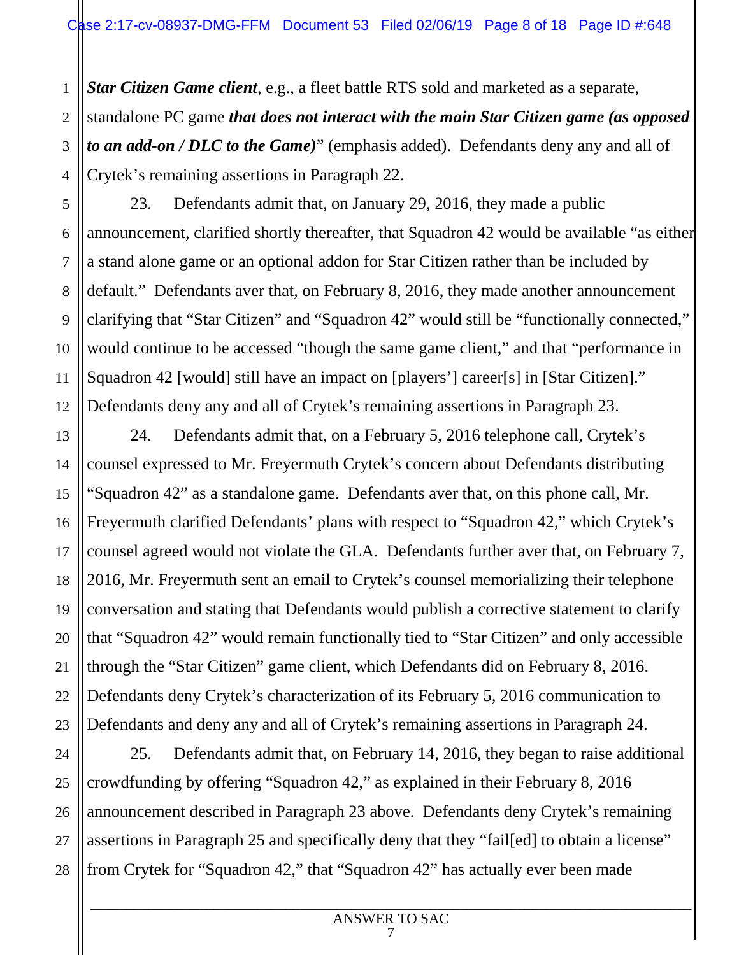*Star Citizen Game client*, e.g., a fleet battle RTS sold and marketed as a separate,

standalone PC game *that does not interact with the main Star Citizen game (as opposed to an add-on / DLC to the Game)*" (emphasis added). Defendants deny any and all of Crytek's remaining assertions in Paragraph 22.

23. Defendants admit that, on January 29, 2016, they made a public announcement, clarified shortly thereafter, that Squadron 42 would be available "as either a stand alone game or an optional addon for Star Citizen rather than be included by default." Defendants aver that, on February 8, 2016, they made another announcement clarifying that "Star Citizen" and "Squadron 42" would still be "functionally connected," would continue to be accessed "though the same game client," and that "performance in Squadron 42 [would] still have an impact on [players'] career[s] in [Star Citizen]." Defendants deny any and all of Crytek's remaining assertions in Paragraph 23.

24. Defendants admit that, on a February 5, 2016 telephone call, Crytek's counsel expressed to Mr. Freyermuth Crytek's concern about Defendants distributing "Squadron 42" as a standalone game. Defendants aver that, on this phone call, Mr. Freyermuth clarified Defendants' plans with respect to "Squadron 42," which Crytek's counsel agreed would not violate the GLA. Defendants further aver that, on February 7, 2016, Mr. Freyermuth sent an email to Crytek's counsel memorializing their telephone conversation and stating that Defendants would publish a corrective statement to clarify that "Squadron 42" would remain functionally tied to "Star Citizen" and only accessible through the "Star Citizen" game client, which Defendants did on February 8, 2016. Defendants deny Crytek's characterization of its February 5, 2016 communication to Defendants and deny any and all of Crytek's remaining assertions in Paragraph 24.

25. Defendants admit that, on February 14, 2016, they began to raise additional crowdfunding by offering "Squadron 42," as explained in their February 8, 2016 announcement described in Paragraph 23 above. Defendants deny Crytek's remaining assertions in Paragraph 25 and specifically deny that they "fail[ed] to obtain a license" from Crytek for "Squadron 42," that "Squadron 42" has actually ever been made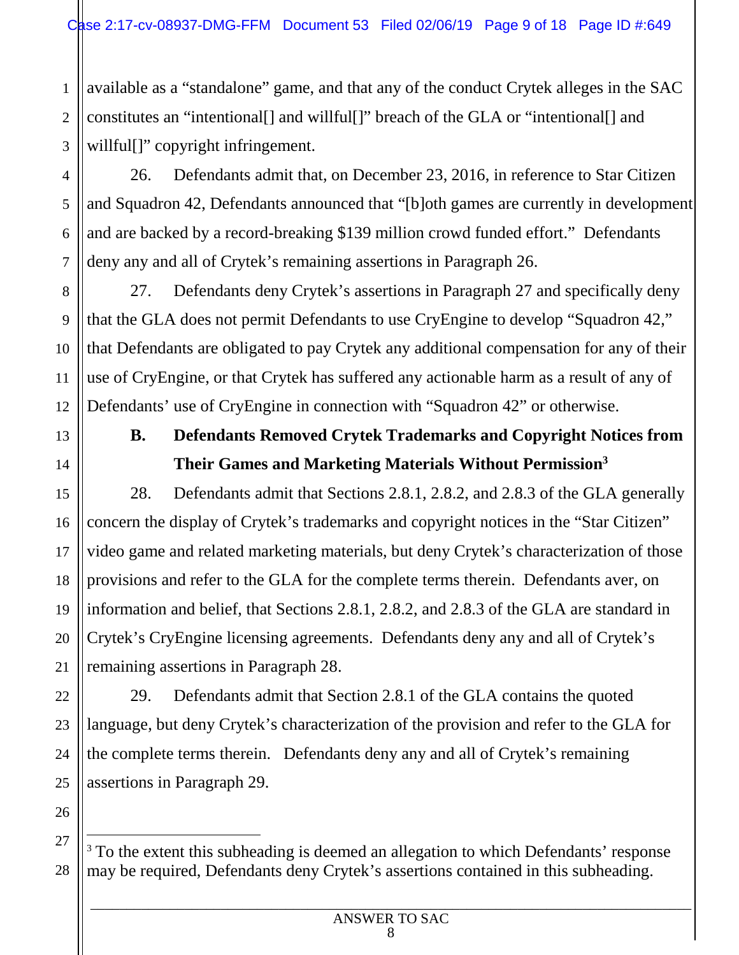1 2 3 available as a "standalone" game, and that any of the conduct Crytek alleges in the SAC constitutes an "intentional[] and willful[]" breach of the GLA or "intentional[] and willful<sup>[]"</sup> copyright infringement.

26. Defendants admit that, on December 23, 2016, in reference to Star Citizen and Squadron 42, Defendants announced that "[b]oth games are currently in development and are backed by a record-breaking \$139 million crowd funded effort." Defendants deny any and all of Crytek's remaining assertions in Paragraph 26.

8 9 10 12 27. Defendants deny Crytek's assertions in Paragraph 27 and specifically deny that the GLA does not permit Defendants to use CryEngine to develop "Squadron 42," that Defendants are obligated to pay Crytek any additional compensation for any of their use of CryEngine, or that Crytek has suffered any actionable harm as a result of any of Defendants' use of CryEngine in connection with "Squadron 42" or otherwise.

4

5

6

7

11

13

14

15

16

17

18

19

20

21

22

23

# **B. Defendants Removed Crytek Trademarks and Copyright Notices from Their Games and Marketing Materials Without Permission<sup>3</sup>**

28. Defendants admit that Sections 2.8.1, 2.8.2, and 2.8.3 of the GLA generally concern the display of Crytek's trademarks and copyright notices in the "Star Citizen" video game and related marketing materials, but deny Crytek's characterization of those provisions and refer to the GLA for the complete terms therein. Defendants aver, on information and belief, that Sections 2.8.1, 2.8.2, and 2.8.3 of the GLA are standard in Crytek's CryEngine licensing agreements. Defendants deny any and all of Crytek's remaining assertions in Paragraph 28.

29. Defendants admit that Section 2.8.1 of the GLA contains the quoted language, but deny Crytek's characterization of the provision and refer to the GLA for the complete terms therein. Defendants deny any and all of Crytek's remaining assertions in Paragraph 29.

<sup>28</sup> <sup>3</sup> To the extent this subheading is deemed an allegation to which Defendants' response may be required, Defendants deny Crytek's assertions contained in this subheading.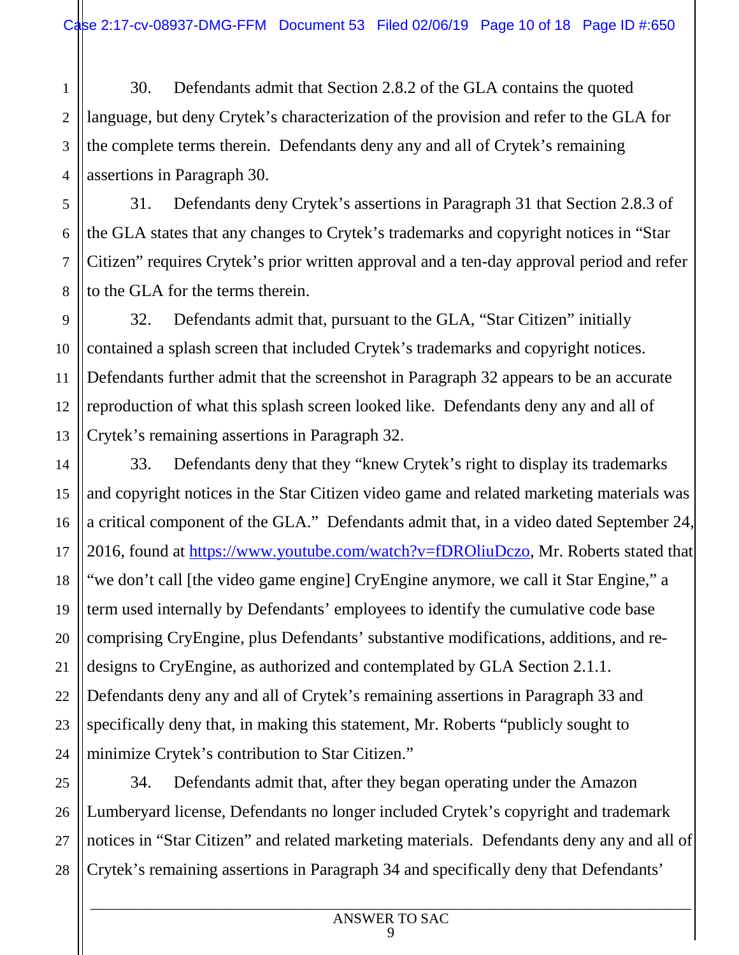1 2 3 4 30. Defendants admit that Section 2.8.2 of the GLA contains the quoted language, but deny Crytek's characterization of the provision and refer to the GLA for the complete terms therein. Defendants deny any and all of Crytek's remaining assertions in Paragraph 30.

5

6

7

8

9

10

11

13

14

15

16

17

18

19

20

21

22

23

24

31. Defendants deny Crytek's assertions in Paragraph 31 that Section 2.8.3 of the GLA states that any changes to Crytek's trademarks and copyright notices in "Star Citizen" requires Crytek's prior written approval and a ten-day approval period and refer to the GLA for the terms therein.

12 32. Defendants admit that, pursuant to the GLA, "Star Citizen" initially contained a splash screen that included Crytek's trademarks and copyright notices. Defendants further admit that the screenshot in Paragraph 32 appears to be an accurate reproduction of what this splash screen looked like. Defendants deny any and all of Crytek's remaining assertions in Paragraph 32.

33. Defendants deny that they "knew Crytek's right to display its trademarks and copyright notices in the Star Citizen video game and related marketing materials was a critical component of the GLA." Defendants admit that, in a video dated September 24, 2016, found at https://www.youtube.com/watch?v=fDROliuDczo, Mr. Roberts stated that "we don't call [the video game engine] CryEngine anymore, we call it Star Engine," a term used internally by Defendants' employees to identify the cumulative code base comprising CryEngine, plus Defendants' substantive modifications, additions, and redesigns to CryEngine, as authorized and contemplated by GLA Section 2.1.1. Defendants deny any and all of Crytek's remaining assertions in Paragraph 33 and specifically deny that, in making this statement, Mr. Roberts "publicly sought to minimize Crytek's contribution to Star Citizen."

25 26 27 28 34. Defendants admit that, after they began operating under the Amazon Lumberyard license, Defendants no longer included Crytek's copyright and trademark notices in "Star Citizen" and related marketing materials. Defendants deny any and all of Crytek's remaining assertions in Paragraph 34 and specifically deny that Defendants'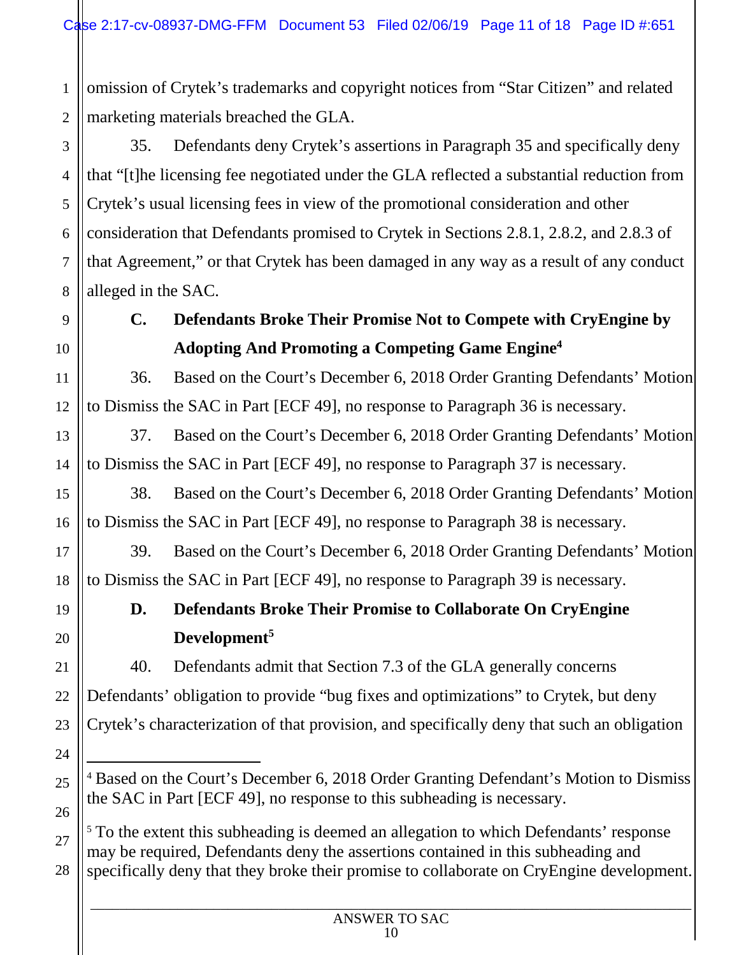1  $\mathfrak{D}$ omission of Crytek's trademarks and copyright notices from "Star Citizen" and related marketing materials breached the GLA.

3 4 35. Defendants deny Crytek's assertions in Paragraph 35 and specifically deny that "[t]he licensing fee negotiated under the GLA reflected a substantial reduction from Crytek's usual licensing fees in view of the promotional consideration and other consideration that Defendants promised to Crytek in Sections 2.8.1, 2.8.2, and 2.8.3 of that Agreement," or that Crytek has been damaged in any way as a result of any conduct alleged in the SAC.

# **C. Defendants Broke Their Promise Not to Compete with CryEngine by Adopting And Promoting a Competing Game Engine<sup>4</sup>**

36. Based on the Court's December 6, 2018 Order Granting Defendants' Motion to Dismiss the SAC in Part [ECF 49], no response to Paragraph 36 is necessary.

37. Based on the Court's December 6, 2018 Order Granting Defendants' Motion to Dismiss the SAC in Part [ECF 49], no response to Paragraph 37 is necessary.

38. Based on the Court's December 6, 2018 Order Granting Defendants' Motion to Dismiss the SAC in Part [ECF 49], no response to Paragraph 38 is necessary.

39. Based on the Court's December 6, 2018 Order Granting Defendants' Motion to Dismiss the SAC in Part [ECF 49], no response to Paragraph 39 is necessary.

# **D. Defendants Broke Their Promise to Collaborate On CryEngine Development<sup>5</sup>**

40. Defendants admit that Section 7.3 of the GLA generally concerns Defendants' obligation to provide "bug fixes and optimizations" to Crytek, but deny Crytek's characterization of that provision, and specifically deny that such an obligation

<sup>5</sup> To the extent this subheading is deemed an allegation to which Defendants' response may be required, Defendants deny the assertions contained in this subheading and specifically deny that they broke their promise to collaborate on CryEngine development.

5

<sup>4</sup> Based on the Court's December 6, 2018 Order Granting Defendant's Motion to Dismiss the SAC in Part [ECF 49], no response to this subheading is necessary.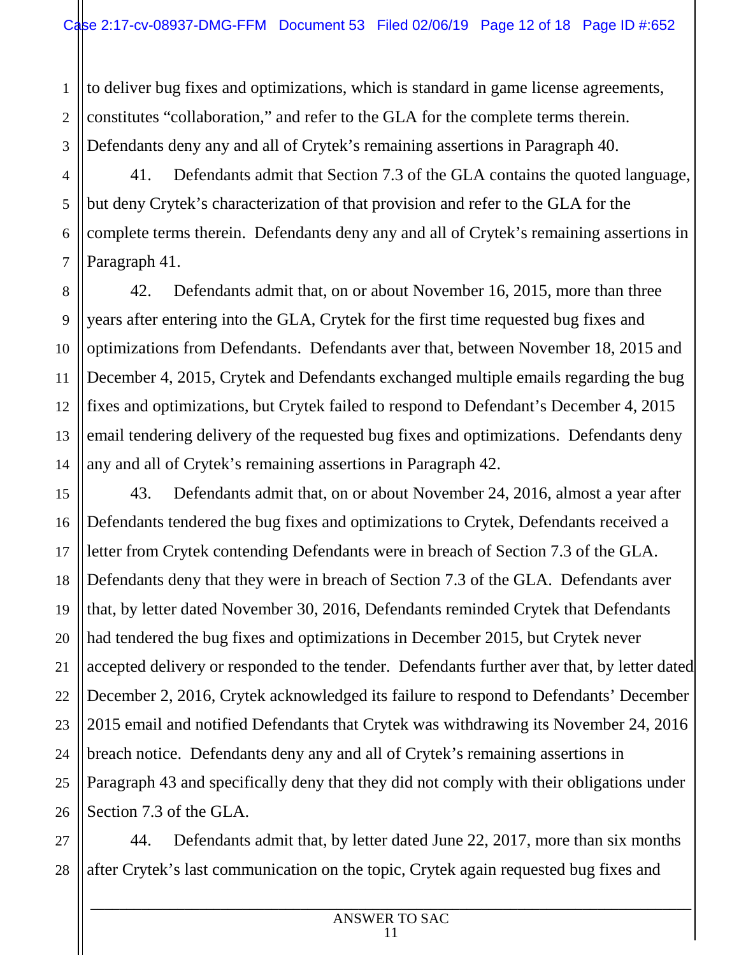1  $\mathfrak{D}$ 3 to deliver bug fixes and optimizations, which is standard in game license agreements, constitutes "collaboration," and refer to the GLA for the complete terms therein. Defendants deny any and all of Crytek's remaining assertions in Paragraph 40.

41. Defendants admit that Section 7.3 of the GLA contains the quoted language, but deny Crytek's characterization of that provision and refer to the GLA for the complete terms therein. Defendants deny any and all of Crytek's remaining assertions in Paragraph 41.

42. Defendants admit that, on or about November 16, 2015, more than three years after entering into the GLA, Crytek for the first time requested bug fixes and optimizations from Defendants. Defendants aver that, between November 18, 2015 and December 4, 2015, Crytek and Defendants exchanged multiple emails regarding the bug fixes and optimizations, but Crytek failed to respond to Defendant's December 4, 2015 email tendering delivery of the requested bug fixes and optimizations. Defendants deny any and all of Crytek's remaining assertions in Paragraph 42.

43. Defendants admit that, on or about November 24, 2016, almost a year after Defendants tendered the bug fixes and optimizations to Crytek, Defendants received a letter from Crytek contending Defendants were in breach of Section 7.3 of the GLA. Defendants deny that they were in breach of Section 7.3 of the GLA. Defendants aver that, by letter dated November 30, 2016, Defendants reminded Crytek that Defendants had tendered the bug fixes and optimizations in December 2015, but Crytek never accepted delivery or responded to the tender. Defendants further aver that, by letter dated December 2, 2016, Crytek acknowledged its failure to respond to Defendants' December 2015 email and notified Defendants that Crytek was withdrawing its November 24, 2016 breach notice. Defendants deny any and all of Crytek's remaining assertions in Paragraph 43 and specifically deny that they did not comply with their obligations under Section 7.3 of the GLA.

44. Defendants admit that, by letter dated June 22, 2017, more than six months after Crytek's last communication on the topic, Crytek again requested bug fixes and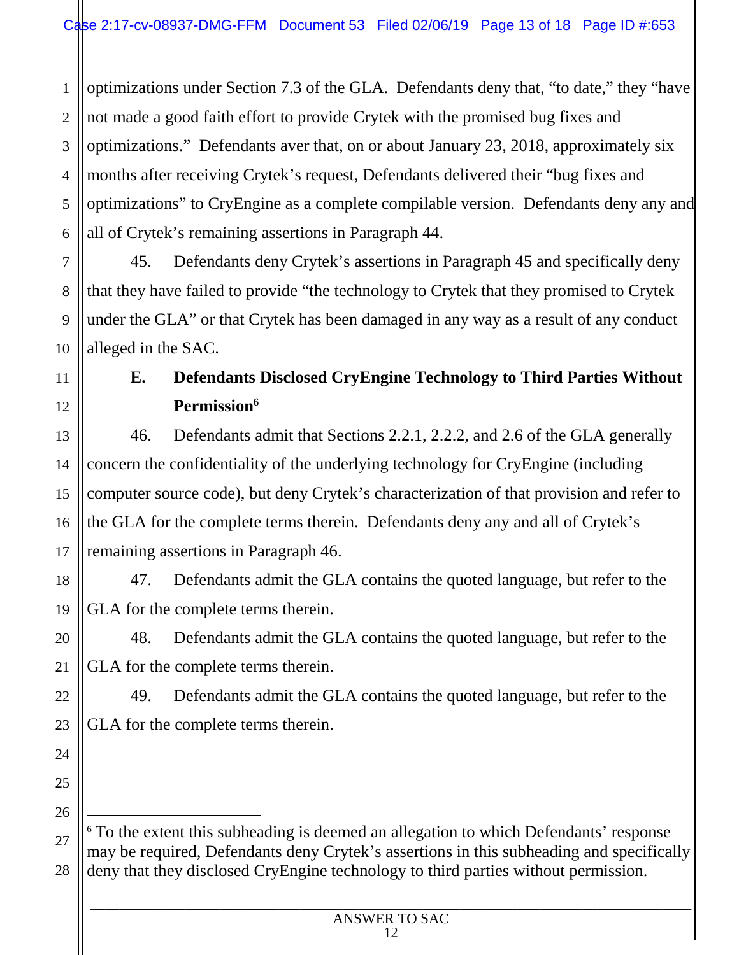1  $\mathfrak{D}$ 3 4 5 6 optimizations under Section 7.3 of the GLA. Defendants deny that, "to date," they "have not made a good faith effort to provide Crytek with the promised bug fixes and optimizations." Defendants aver that, on or about January 23, 2018, approximately six months after receiving Crytek's request, Defendants delivered their "bug fixes and optimizations" to CryEngine as a complete compilable version. Defendants deny any and all of Crytek's remaining assertions in Paragraph 44.

45. Defendants deny Crytek's assertions in Paragraph 45 and specifically deny that they have failed to provide "the technology to Crytek that they promised to Crytek under the GLA" or that Crytek has been damaged in any way as a result of any conduct alleged in the SAC.

# **E. Defendants Disclosed CryEngine Technology to Third Parties Without Permission<sup>6</sup>**

46. Defendants admit that Sections 2.2.1, 2.2.2, and 2.6 of the GLA generally concern the confidentiality of the underlying technology for CryEngine (including computer source code), but deny Crytek's characterization of that provision and refer to the GLA for the complete terms therein. Defendants deny any and all of Crytek's remaining assertions in Paragraph 46.

18 19 47. Defendants admit the GLA contains the quoted language, but refer to the GLA for the complete terms therein.

48. Defendants admit the GLA contains the quoted language, but refer to the GLA for the complete terms therein.

49. Defendants admit the GLA contains the quoted language, but refer to the GLA for the complete terms therein.

25 26

7

8

9

10

11

12

13

14

15

16

17

20

21

22

23

24

27 28 <sup>6</sup> To the extent this subheading is deemed an allegation to which Defendants' response may be required, Defendants deny Crytek's assertions in this subheading and specifically deny that they disclosed CryEngine technology to third parties without permission.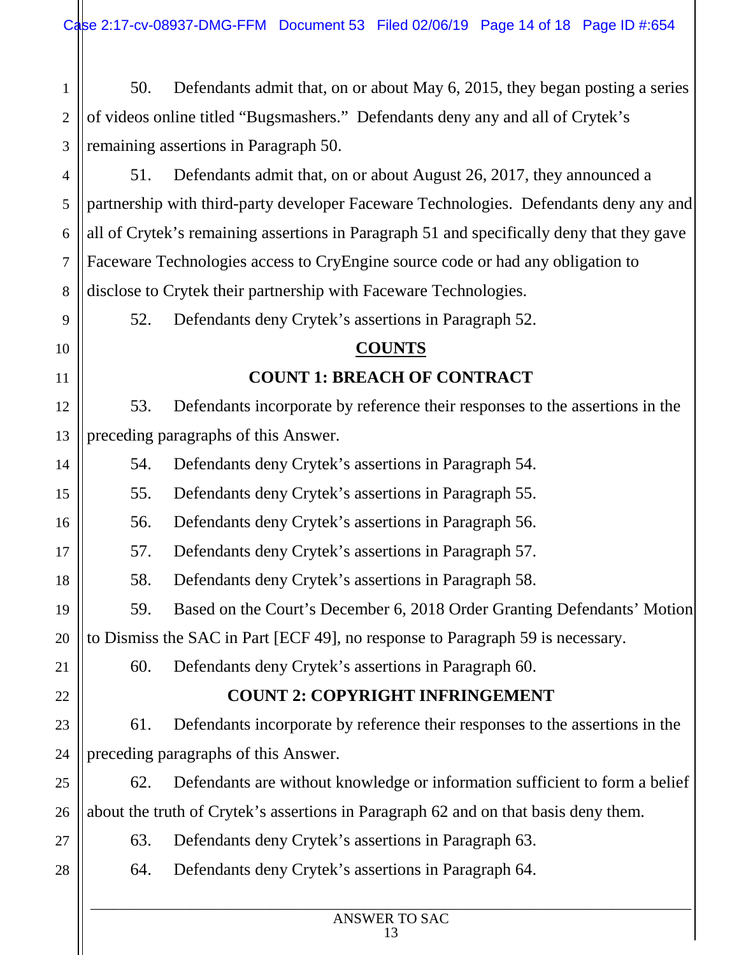1  $\mathfrak{D}$ 3 50. Defendants admit that, on or about May 6, 2015, they began posting a series of videos online titled "Bugsmashers." Defendants deny any and all of Crytek's remaining assertions in Paragraph 50.

4 5 6 7 8 51. Defendants admit that, on or about August 26, 2017, they announced a partnership with third-party developer Faceware Technologies. Defendants deny any and all of Crytek's remaining assertions in Paragraph 51 and specifically deny that they gave Faceware Technologies access to CryEngine source code or had any obligation to disclose to Crytek their partnership with Faceware Technologies.

52. Defendants deny Crytek's assertions in Paragraph 52.

#### **COUNTS**

# **COUNT 1: BREACH OF CONTRACT**

53. Defendants incorporate by reference their responses to the assertions in the preceding paragraphs of this Answer.

54. Defendants deny Crytek's assertions in Paragraph 54.

55. Defendants deny Crytek's assertions in Paragraph 55.

56. Defendants deny Crytek's assertions in Paragraph 56.

57. Defendants deny Crytek's assertions in Paragraph 57.

58. Defendants deny Crytek's assertions in Paragraph 58.

59. Based on the Court's December 6, 2018 Order Granting Defendants' Motion

20 to Dismiss the SAC in Part [ECF 49], no response to Paragraph 59 is necessary.

60. Defendants deny Crytek's assertions in Paragraph 60.

# **COUNT 2: COPYRIGHT INFRINGEMENT**

61. Defendants incorporate by reference their responses to the assertions in the preceding paragraphs of this Answer.

62. Defendants are without knowledge or information sufficient to form a belief about the truth of Crytek's assertions in Paragraph 62 and on that basis deny them.

63. Defendants deny Crytek's assertions in Paragraph 63.

28

9

10

11

12

13

14

15

16

17

18

19

21

22

23

24

25

26

27

64. Defendants deny Crytek's assertions in Paragraph 64.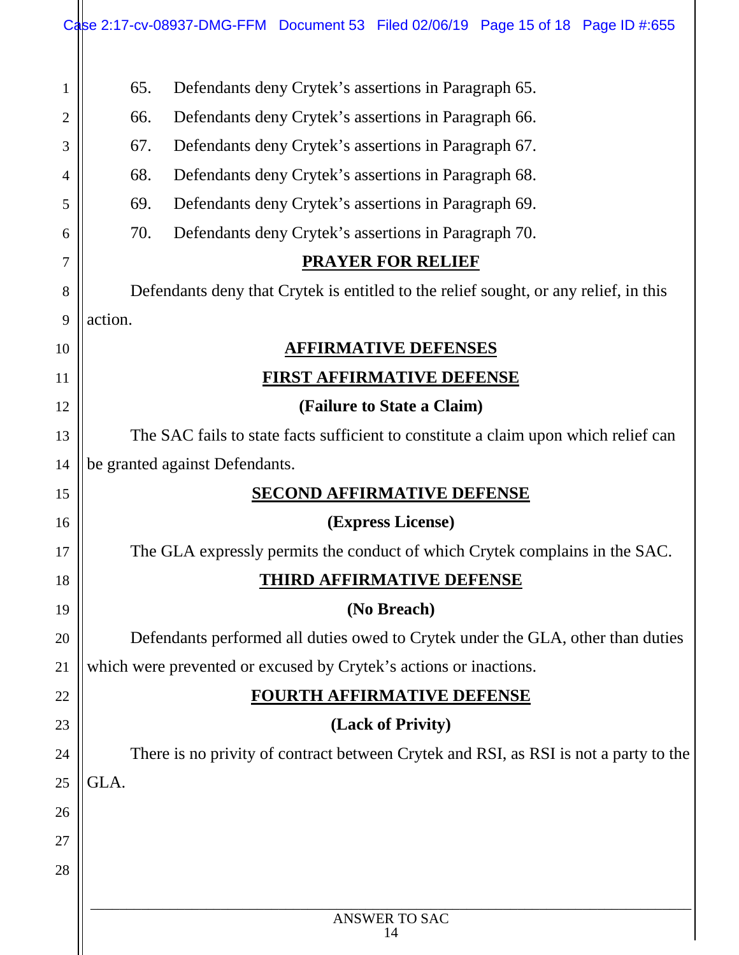|                |                                                                                     | Case 2:17-cv-08937-DMG-FFM Document 53 Filed 02/06/19 Page 15 of 18 Page ID #:655    |  |
|----------------|-------------------------------------------------------------------------------------|--------------------------------------------------------------------------------------|--|
| $\mathbf{1}$   | 65.                                                                                 | Defendants deny Crytek's assertions in Paragraph 65.                                 |  |
| $\overline{2}$ | 66.                                                                                 | Defendants deny Crytek's assertions in Paragraph 66.                                 |  |
| 3              | 67.                                                                                 | Defendants deny Crytek's assertions in Paragraph 67.                                 |  |
| 4              | 68.                                                                                 | Defendants deny Crytek's assertions in Paragraph 68.                                 |  |
| 5              | 69.                                                                                 | Defendants deny Crytek's assertions in Paragraph 69.                                 |  |
| 6              | 70.                                                                                 | Defendants deny Crytek's assertions in Paragraph 70.                                 |  |
| $\overline{7}$ |                                                                                     | <b>PRAYER FOR RELIEF</b>                                                             |  |
| 8              |                                                                                     | Defendants deny that Crytek is entitled to the relief sought, or any relief, in this |  |
| 9              | action.                                                                             |                                                                                      |  |
| 10             |                                                                                     | <b>AFFIRMATIVE DEFENSES</b>                                                          |  |
| 11             |                                                                                     | <u>FIRST AFFIRMATIVE DEFENSE</u>                                                     |  |
| 12             |                                                                                     | (Failure to State a Claim)                                                           |  |
| 13             | The SAC fails to state facts sufficient to constitute a claim upon which relief can |                                                                                      |  |
| 14             | be granted against Defendants.                                                      |                                                                                      |  |
| 15             |                                                                                     | <b>SECOND AFFIRMATIVE DEFENSE</b>                                                    |  |
| 16             |                                                                                     | (Express License)                                                                    |  |
| 17             |                                                                                     | The GLA expressly permits the conduct of which Crytek complains in the SAC.          |  |
| 18             |                                                                                     | <b>THIRD AFFIRMATIVE DEFENSE</b>                                                     |  |
| 19             |                                                                                     | (No Breach)                                                                          |  |
| 20             |                                                                                     | Defendants performed all duties owed to Crytek under the GLA, other than duties      |  |
| 21             |                                                                                     | which were prevented or excused by Crytek's actions or inactions.                    |  |
| 22             |                                                                                     | <b>FOURTH AFFIRMATIVE DEFENSE</b>                                                    |  |
| 23             |                                                                                     | (Lack of Privity)                                                                    |  |
| 24             |                                                                                     | There is no privity of contract between Crytek and RSI, as RSI is not a party to the |  |
| 25             | GLA.                                                                                |                                                                                      |  |
| 26             |                                                                                     |                                                                                      |  |
| 27             |                                                                                     |                                                                                      |  |
| 28             |                                                                                     |                                                                                      |  |
|                |                                                                                     | ANSWER TO SAC                                                                        |  |
|                |                                                                                     | 14                                                                                   |  |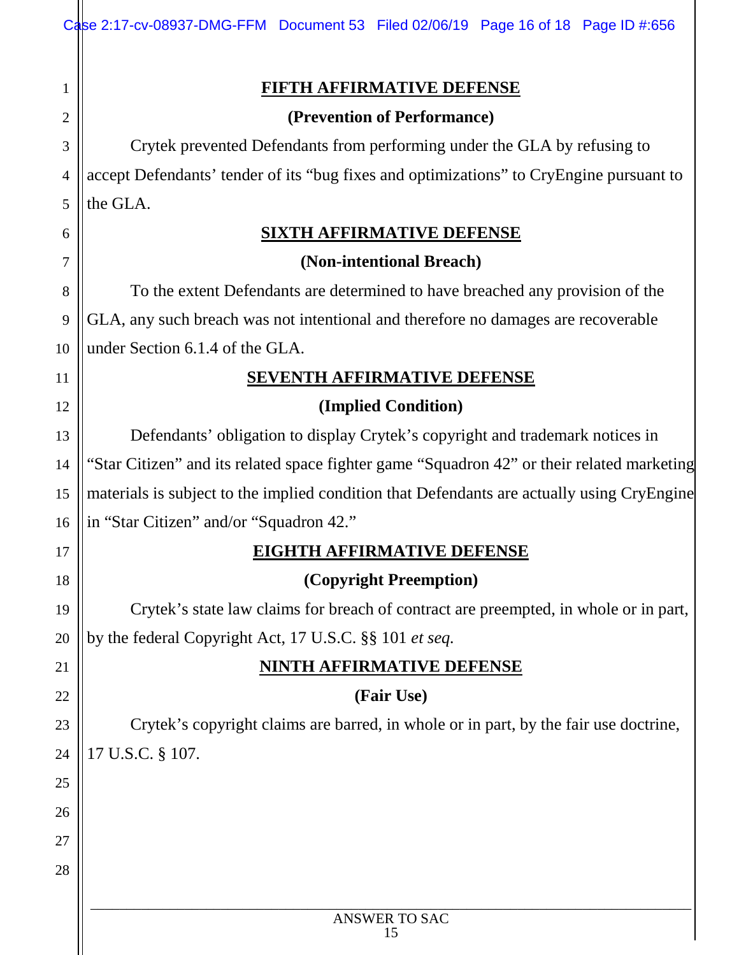| <u>FIFTH AFFIRMATIVE DEFENSE</u><br>1<br>(Prevention of Performance)<br>$\overline{2}$<br>Crytek prevented Defendants from performing under the GLA by refusing to<br>3<br>4<br>the GLA.<br>5<br><b>SIXTH AFFIRMATIVE DEFENSE</b><br>6<br>(Non-intentional Breach)<br>7<br>To the extent Defendants are determined to have breached any provision of the<br>8<br>GLA, any such breach was not intentional and therefore no damages are recoverable<br>9<br>under Section 6.1.4 of the GLA.<br>10<br><b>SEVENTH AFFIRMATIVE DEFENSE</b><br>11<br>(Implied Condition)<br>12<br>Defendants' obligation to display Crytek's copyright and trademark notices in<br>13<br>14<br>15<br>in "Star Citizen" and/or "Squadron 42."<br>16<br><u>EIGHTH AFFIRMATIVE DEFENSE</u><br>17<br>(Copyright Preemption)<br>18<br>19<br>by the federal Copyright Act, 17 U.S.C. §§ 101 et seq.<br>20<br><u>NINTH AFFIRMATIVE DEFENSE</u><br>21<br>(Fair Use)<br>22<br>23<br>17 U.S.C. § 107.<br>24<br>25<br>26<br>27<br>28<br>ANSWER TO SAC | Case 2:17-cv-08937-DMG-FFM Document 53 Filed 02/06/19 Page 16 of 18 Page ID #:656          |  |  |  |  |
|-----------------------------------------------------------------------------------------------------------------------------------------------------------------------------------------------------------------------------------------------------------------------------------------------------------------------------------------------------------------------------------------------------------------------------------------------------------------------------------------------------------------------------------------------------------------------------------------------------------------------------------------------------------------------------------------------------------------------------------------------------------------------------------------------------------------------------------------------------------------------------------------------------------------------------------------------------------------------------------------------------------------------|--------------------------------------------------------------------------------------------|--|--|--|--|
|                                                                                                                                                                                                                                                                                                                                                                                                                                                                                                                                                                                                                                                                                                                                                                                                                                                                                                                                                                                                                       |                                                                                            |  |  |  |  |
|                                                                                                                                                                                                                                                                                                                                                                                                                                                                                                                                                                                                                                                                                                                                                                                                                                                                                                                                                                                                                       |                                                                                            |  |  |  |  |
|                                                                                                                                                                                                                                                                                                                                                                                                                                                                                                                                                                                                                                                                                                                                                                                                                                                                                                                                                                                                                       |                                                                                            |  |  |  |  |
|                                                                                                                                                                                                                                                                                                                                                                                                                                                                                                                                                                                                                                                                                                                                                                                                                                                                                                                                                                                                                       |                                                                                            |  |  |  |  |
|                                                                                                                                                                                                                                                                                                                                                                                                                                                                                                                                                                                                                                                                                                                                                                                                                                                                                                                                                                                                                       | accept Defendants' tender of its "bug fixes and optimizations" to CryEngine pursuant to    |  |  |  |  |
|                                                                                                                                                                                                                                                                                                                                                                                                                                                                                                                                                                                                                                                                                                                                                                                                                                                                                                                                                                                                                       |                                                                                            |  |  |  |  |
|                                                                                                                                                                                                                                                                                                                                                                                                                                                                                                                                                                                                                                                                                                                                                                                                                                                                                                                                                                                                                       |                                                                                            |  |  |  |  |
|                                                                                                                                                                                                                                                                                                                                                                                                                                                                                                                                                                                                                                                                                                                                                                                                                                                                                                                                                                                                                       |                                                                                            |  |  |  |  |
|                                                                                                                                                                                                                                                                                                                                                                                                                                                                                                                                                                                                                                                                                                                                                                                                                                                                                                                                                                                                                       |                                                                                            |  |  |  |  |
|                                                                                                                                                                                                                                                                                                                                                                                                                                                                                                                                                                                                                                                                                                                                                                                                                                                                                                                                                                                                                       |                                                                                            |  |  |  |  |
|                                                                                                                                                                                                                                                                                                                                                                                                                                                                                                                                                                                                                                                                                                                                                                                                                                                                                                                                                                                                                       |                                                                                            |  |  |  |  |
|                                                                                                                                                                                                                                                                                                                                                                                                                                                                                                                                                                                                                                                                                                                                                                                                                                                                                                                                                                                                                       |                                                                                            |  |  |  |  |
|                                                                                                                                                                                                                                                                                                                                                                                                                                                                                                                                                                                                                                                                                                                                                                                                                                                                                                                                                                                                                       |                                                                                            |  |  |  |  |
|                                                                                                                                                                                                                                                                                                                                                                                                                                                                                                                                                                                                                                                                                                                                                                                                                                                                                                                                                                                                                       |                                                                                            |  |  |  |  |
|                                                                                                                                                                                                                                                                                                                                                                                                                                                                                                                                                                                                                                                                                                                                                                                                                                                                                                                                                                                                                       | "Star Citizen" and its related space fighter game "Squadron 42" or their related marketing |  |  |  |  |
|                                                                                                                                                                                                                                                                                                                                                                                                                                                                                                                                                                                                                                                                                                                                                                                                                                                                                                                                                                                                                       | materials is subject to the implied condition that Defendants are actually using CryEngine |  |  |  |  |
|                                                                                                                                                                                                                                                                                                                                                                                                                                                                                                                                                                                                                                                                                                                                                                                                                                                                                                                                                                                                                       |                                                                                            |  |  |  |  |
|                                                                                                                                                                                                                                                                                                                                                                                                                                                                                                                                                                                                                                                                                                                                                                                                                                                                                                                                                                                                                       |                                                                                            |  |  |  |  |
|                                                                                                                                                                                                                                                                                                                                                                                                                                                                                                                                                                                                                                                                                                                                                                                                                                                                                                                                                                                                                       |                                                                                            |  |  |  |  |
|                                                                                                                                                                                                                                                                                                                                                                                                                                                                                                                                                                                                                                                                                                                                                                                                                                                                                                                                                                                                                       | Crytek's state law claims for breach of contract are preempted, in whole or in part,       |  |  |  |  |
|                                                                                                                                                                                                                                                                                                                                                                                                                                                                                                                                                                                                                                                                                                                                                                                                                                                                                                                                                                                                                       |                                                                                            |  |  |  |  |
|                                                                                                                                                                                                                                                                                                                                                                                                                                                                                                                                                                                                                                                                                                                                                                                                                                                                                                                                                                                                                       |                                                                                            |  |  |  |  |
|                                                                                                                                                                                                                                                                                                                                                                                                                                                                                                                                                                                                                                                                                                                                                                                                                                                                                                                                                                                                                       |                                                                                            |  |  |  |  |
|                                                                                                                                                                                                                                                                                                                                                                                                                                                                                                                                                                                                                                                                                                                                                                                                                                                                                                                                                                                                                       | Crytek's copyright claims are barred, in whole or in part, by the fair use doctrine,       |  |  |  |  |
|                                                                                                                                                                                                                                                                                                                                                                                                                                                                                                                                                                                                                                                                                                                                                                                                                                                                                                                                                                                                                       |                                                                                            |  |  |  |  |
|                                                                                                                                                                                                                                                                                                                                                                                                                                                                                                                                                                                                                                                                                                                                                                                                                                                                                                                                                                                                                       |                                                                                            |  |  |  |  |
|                                                                                                                                                                                                                                                                                                                                                                                                                                                                                                                                                                                                                                                                                                                                                                                                                                                                                                                                                                                                                       |                                                                                            |  |  |  |  |
|                                                                                                                                                                                                                                                                                                                                                                                                                                                                                                                                                                                                                                                                                                                                                                                                                                                                                                                                                                                                                       |                                                                                            |  |  |  |  |
|                                                                                                                                                                                                                                                                                                                                                                                                                                                                                                                                                                                                                                                                                                                                                                                                                                                                                                                                                                                                                       |                                                                                            |  |  |  |  |
|                                                                                                                                                                                                                                                                                                                                                                                                                                                                                                                                                                                                                                                                                                                                                                                                                                                                                                                                                                                                                       |                                                                                            |  |  |  |  |
|                                                                                                                                                                                                                                                                                                                                                                                                                                                                                                                                                                                                                                                                                                                                                                                                                                                                                                                                                                                                                       | 15                                                                                         |  |  |  |  |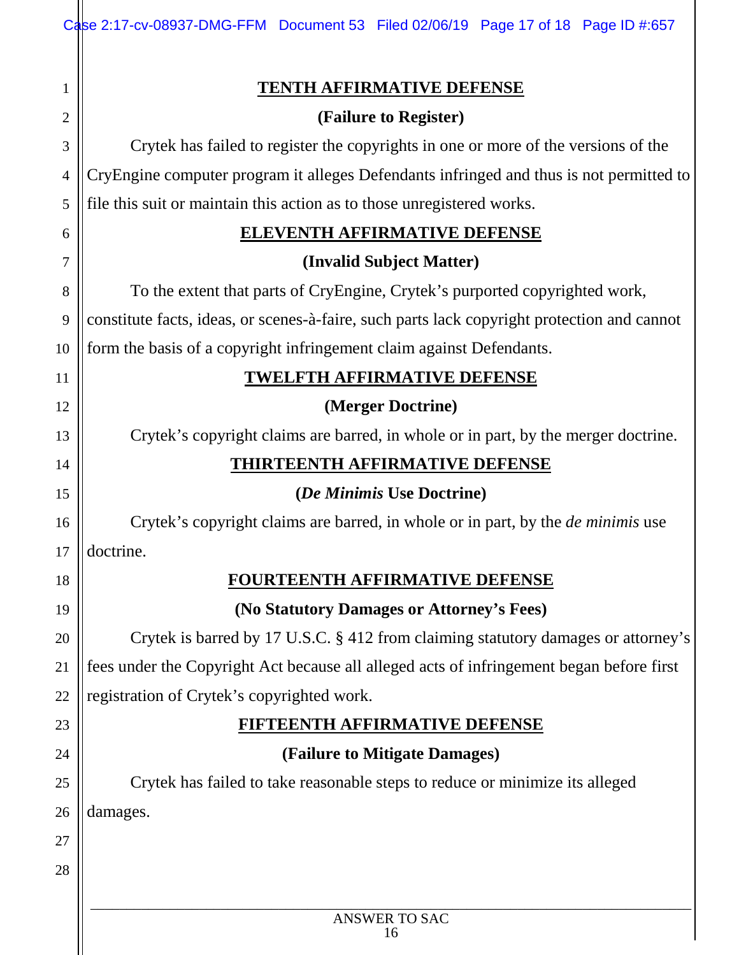|                | Case 2:17-cv-08937-DMG-FFM Document 53 Filed 02/06/19 Page 17 of 18 Page ID #:657           |
|----------------|---------------------------------------------------------------------------------------------|
|                | <b>TENTH AFFIRMATIVE DEFENSE</b>                                                            |
| $\overline{c}$ | (Failure to Register)                                                                       |
| 3              | Crytek has failed to register the copyrights in one or more of the versions of the          |
| 4              | CryEngine computer program it alleges Defendants infringed and thus is not permitted to     |
| 5              | file this suit or maintain this action as to those unregistered works.                      |
| 6              | <b>ELEVENTH AFFIRMATIVE DEFENSE</b>                                                         |
| 7              | (Invalid Subject Matter)                                                                    |
| 8              | To the extent that parts of CryEngine, Crytek's purported copyrighted work,                 |
| 9              | constitute facts, ideas, or scenes-à-faire, such parts lack copyright protection and cannot |
| 10             | form the basis of a copyright infringement claim against Defendants.                        |
| 11             | <b>TWELFTH AFFIRMATIVE DEFENSE</b>                                                          |
| 12             | (Merger Doctrine)                                                                           |
| 13             | Crytek's copyright claims are barred, in whole or in part, by the merger doctrine.          |
| 14             | <u>THIRTEENTH AFFIRMATIVE DEFENSE</u>                                                       |
| 15             | <i>(De Minimis Use Doctrine)</i>                                                            |
| 16             | Crytek's copyright claims are barred, in whole or in part, by the <i>de minimis</i> use     |
| 17             |                                                                                             |
|                | doctrine.                                                                                   |
| 18             | <u>FOURTEENTH AFFIRMATIVE DEFENSE</u>                                                       |
| 19             | (No Statutory Damages or Attorney's Fees)                                                   |
| 20             | Crytek is barred by 17 U.S.C. § 412 from claiming statutory damages or attorney's           |
| 21             | fees under the Copyright Act because all alleged acts of infringement began before first    |
| 22             | registration of Crytek's copyrighted work.                                                  |
| 23             | <u>IFTEENTH AFFIRMATIVE DEFENSE</u>                                                         |
| 24             | (Failure to Mitigate Damages)                                                               |
| 25             | Crytek has failed to take reasonable steps to reduce or minimize its alleged                |
| 26             | damages.                                                                                    |
| 27             |                                                                                             |
| 28             |                                                                                             |
|                | ANSWER TO SAC                                                                               |